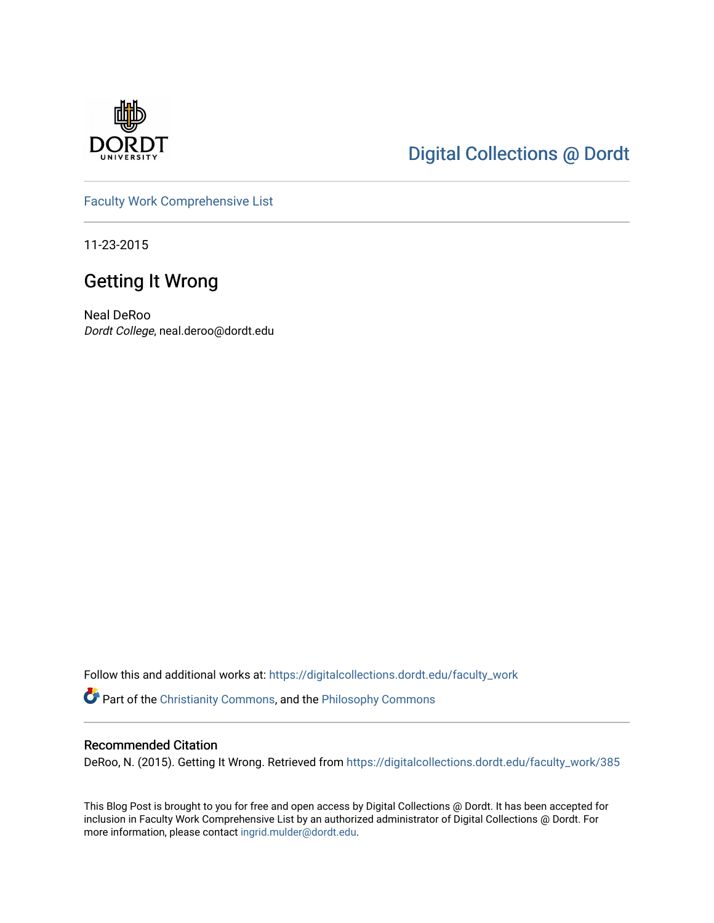

# [Digital Collections @ Dordt](https://digitalcollections.dordt.edu/)

[Faculty Work Comprehensive List](https://digitalcollections.dordt.edu/faculty_work)

11-23-2015

# Getting It Wrong

Neal DeRoo Dordt College, neal.deroo@dordt.edu

Follow this and additional works at: [https://digitalcollections.dordt.edu/faculty\\_work](https://digitalcollections.dordt.edu/faculty_work?utm_source=digitalcollections.dordt.edu%2Ffaculty_work%2F385&utm_medium=PDF&utm_campaign=PDFCoverPages)  Part of the [Christianity Commons,](http://network.bepress.com/hgg/discipline/1181?utm_source=digitalcollections.dordt.edu%2Ffaculty_work%2F385&utm_medium=PDF&utm_campaign=PDFCoverPages) and the [Philosophy Commons](http://network.bepress.com/hgg/discipline/525?utm_source=digitalcollections.dordt.edu%2Ffaculty_work%2F385&utm_medium=PDF&utm_campaign=PDFCoverPages) 

#### Recommended Citation

DeRoo, N. (2015). Getting It Wrong. Retrieved from [https://digitalcollections.dordt.edu/faculty\\_work/385](https://digitalcollections.dordt.edu/faculty_work/385?utm_source=digitalcollections.dordt.edu%2Ffaculty_work%2F385&utm_medium=PDF&utm_campaign=PDFCoverPages) 

This Blog Post is brought to you for free and open access by Digital Collections @ Dordt. It has been accepted for inclusion in Faculty Work Comprehensive List by an authorized administrator of Digital Collections @ Dordt. For more information, please contact [ingrid.mulder@dordt.edu.](mailto:ingrid.mulder@dordt.edu)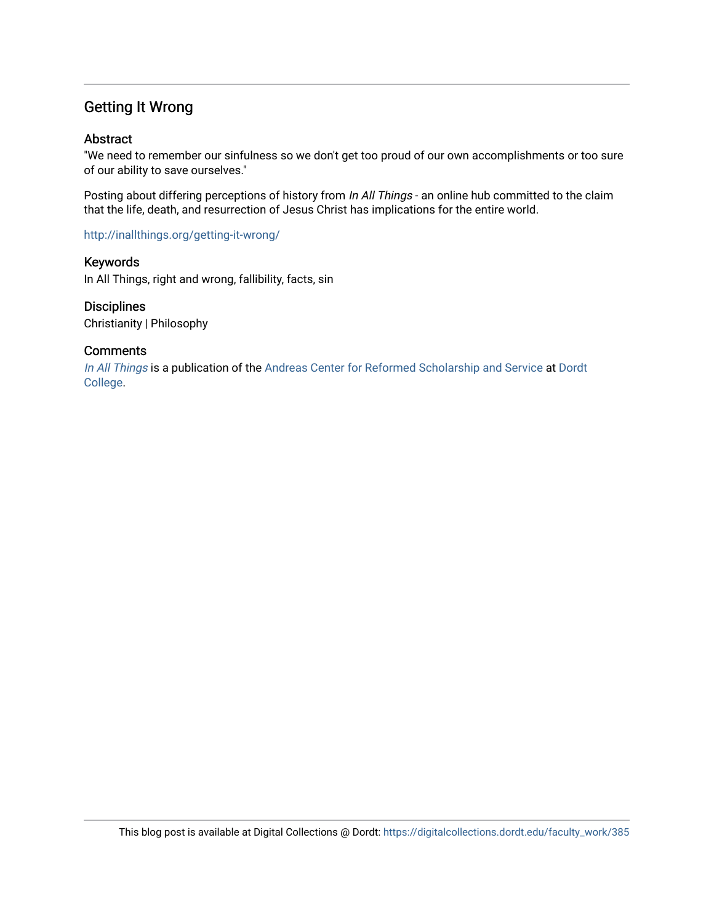## Getting It Wrong

#### Abstract

"We need to remember our sinfulness so we don't get too proud of our own accomplishments or too sure of our ability to save ourselves."

Posting about differing perceptions of history from In All Things - an online hub committed to the claim that the life, death, and resurrection of Jesus Christ has implications for the entire world.

<http://inallthings.org/getting-it-wrong/>

Keywords In All Things, right and wrong, fallibility, facts, sin

**Disciplines** Christianity | Philosophy

#### **Comments**

[In All Things](http://inallthings.org/) is a publication of the [Andreas Center for Reformed Scholarship and Service](http://www.dordt.edu/services_support/andreas_center/) at Dordt [College](http://www.dordt.edu/).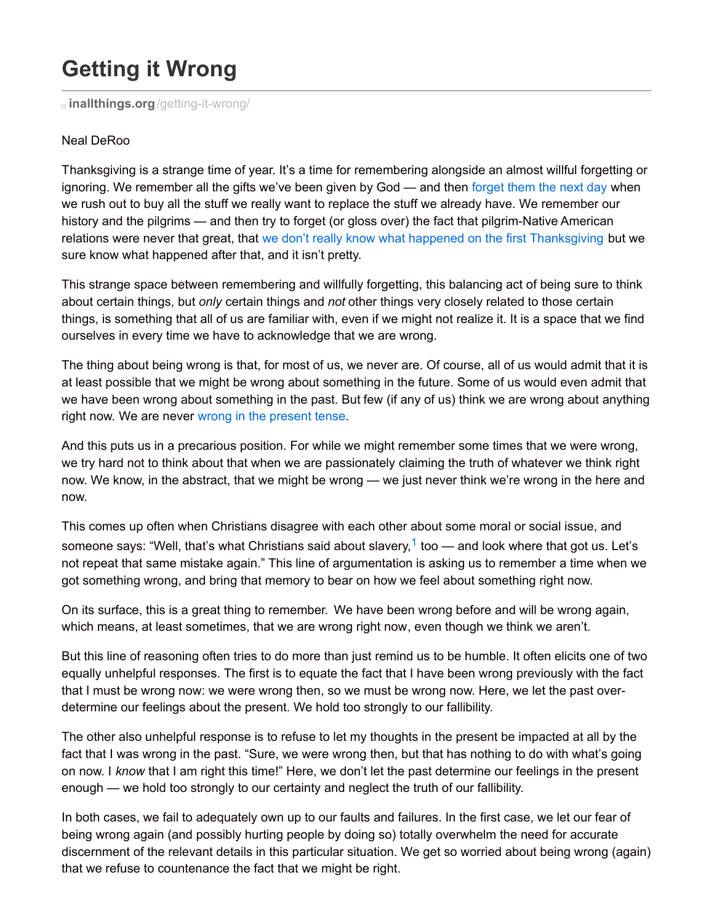# **Getting it Wrong**

**inallthings.org**[/getting-it-wrong/](http://inallthings.org/getting-it-wrong/)

#### Neal DeRoo

Thanksgiving is a strange time of year. It's a time for remembering alongside an almost willful forgetting or ignoring. We remember all the gifts we've been given by God — and then [forget](http://inallthings.org/ingratitude-day/) them the next day when we rush out to buy all the stuff we really want to replace the stuff we already have. We remember our history and the pilgrims — and then try to forget (or gloss over) the fact that pilgrim-Native American relations were never that great, that we don't really know what happened on the first [Thanksgiving](http://blog.constitutioncenter.org/2014/11/what-really-happened-at-the-first-thanksgiving/) but we sure know what happened after that, and it isn't pretty.

This strange space between remembering and willfully forgetting, this balancing act of being sure to think about certain things, but *only* certain things and *not* other things very closely related to those certain things, is something that all of us are familiar with, even if we might not realize it. It is a space that we find ourselves in every time we have to acknowledge that we are wrong.

The thing about being wrong is that, for most of us, we never are. Of course, all of us would admit that it is at least possible that we might be wrong about something in the future. Some of us would even admit that we have been wrong about something in the past. But few (if any of us) think we are wrong about anything right now. We are never wrong in the [present](https://www.ted.com/talks/kathryn_schulz_on_being_wrong?language=en#t-190760) tense.

And this puts us in a precarious position. For while we might remember some times that we were wrong, we try hard not to think about that when we are passionately claiming the truth of whatever we think right now. We know, in the abstract, that we might be wrong — we just never think we're wrong in the here and now.

This comes up often when Christians disagree with each other about some moral or social issue, and someone says: "Well, that's what Christians said about slavery,<sup>[1](http://inallthings.org/getting-it-wrong/#fn1-6982)</sup> too — and look where that got us. Let's not repeat that same mistake again." This line of argumentation is asking us to remember a time when we got something wrong, and bring that memory to bear on how we feel about something right now.

On its surface, this is a great thing to remember. We have been wrong before and will be wrong again, which means, at least sometimes, that we are wrong right now, even though we think we aren't.

But this line of reasoning often tries to do more than just remind us to be humble. It often elicits one of two equally unhelpful responses. The first is to equate the fact that I have been wrong previously with the fact that I must be wrong now: we were wrong then, so we must be wrong now. Here, we let the past overdetermine our feelings about the present. We hold too strongly to our fallibility.

The other also unhelpful response is to refuse to let my thoughts in the present be impacted at all by the fact that I was wrong in the past. "Sure, we were wrong then, but that has nothing to do with what's going on now. I *know* that I am right this time!" Here, we don't let the past determine our feelings in the present enough — we hold too strongly to our certainty and neglect the truth of our fallibility.

In both cases, we fail to adequately own up to our faults and failures. In the first case, we let our fear of being wrong again (and possibly hurting people by doing so) totally overwhelm the need for accurate discernment of the relevant details in this particular situation. We get so worried about being wrong (again) that we refuse to countenance the fact that we might be right.